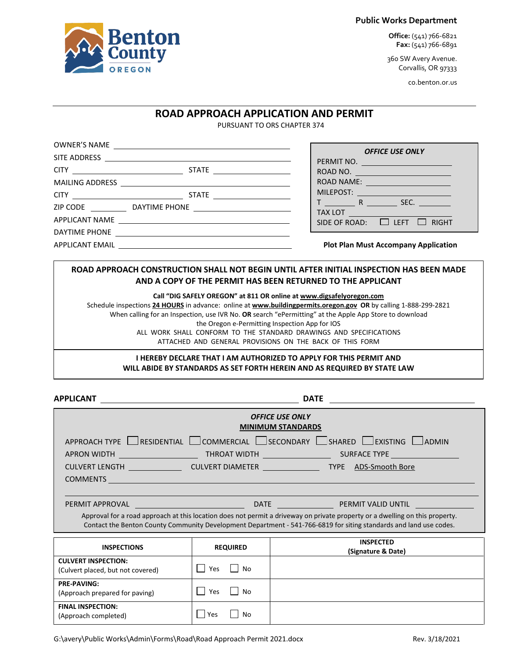#### **Public Works Department**

**Office:** (541) 766-6821 **Fax:** (541) 766-6891

360 SW Avery Avenue. Corvallis, OR 97333

co.benton.or.us

## **ROAD APPROACH APPLICATION AND PERMIT**

PURSUANT TO ORS CHAPTER 374

|  |  | <b>OFFICE USE ONLY</b>                                                                                         |
|--|--|----------------------------------------------------------------------------------------------------------------|
|  |  | PERMIT NO.<br>ROAD NO.                                                                                         |
|  |  | ROAD NAME: ________________________                                                                            |
|  |  | MILEPOST: NAME OF THE STATE OF THE STATE OF THE STATE OF THE STATE OF THE STATE OF THE STATE OF THE STATE OF T |
|  |  | $T$ $R$ $SEC.$                                                                                                 |
|  |  | SIDE OF ROAD: $\Box$ LEFT $\Box$ RIGHT                                                                         |
|  |  |                                                                                                                |
|  |  | <b>Plot Plan Must Accompany Application</b>                                                                    |
|  |  |                                                                                                                |

### **ROAD APPROACH CONSTRUCTION SHALL NOT BEGIN UNTIL AFTER INITIAL INSPECTION HAS BEEN MADE AND A COPY OF THE PERMIT HAS BEEN RETURNED TO THE APPLICANT**

**Call "DIG SAFELY OREGON" at 811 OR online a[t www.digsafelyoregon.com](http://www.digsafelyoregon.com/)**

Schedule inspections **24 HOURS** in advance: online at **[www.buildingpermits.oregon.gov](http://www.buildingpermits.oregon.gov/) OR** by calling 1-888-299-2821 When calling for an Inspection, use IVR No. **OR** search "ePermitting" at the Apple App Store to download the Oregon e-Permitting Inspection App for IOS ALL WORK SHALL CONFORM TO THE STANDARD DRAWINGS AND SPECIFICATIONS ATTACHED AND GENERAL PROVISIONS ON THE BACK OF THIS FORM

#### **I HEREBY DECLARE THAT I AM AUTHORIZED TO APPLY FOR THIS PERMIT AND WILL ABIDE BY STANDARDS AS SET FORTH HEREIN AND AS REQUIRED BY STATE LAW**

APPLICANT DATE **DATE** 

| <b>OFFICE USE ONLY</b><br><b>MINIMUM STANDARDS</b>                                                                                                                                                                                                 |                  |                                                                                                 |  |
|----------------------------------------------------------------------------------------------------------------------------------------------------------------------------------------------------------------------------------------------------|------------------|-------------------------------------------------------------------------------------------------|--|
| $APPROACH$ TYPE $\Box$ RESIDENTIAL $\Box$ COMMERCIAL $\Box$ SECONDARY $\Box$ SHARED $\Box$ EXISTING $\Box$ ADMIN                                                                                                                                   |                  |                                                                                                 |  |
|                                                                                                                                                                                                                                                    |                  |                                                                                                 |  |
| COMMENTS COMMENTS                                                                                                                                                                                                                                  |                  | CULVERT LENGTH ________________________CULVERT DIAMETER ___________________TYPE ADS-Smooth Bore |  |
| Approval for a road approach at this location does not permit a driveway on private property or a dwelling on this property.<br>Contact the Benton County Community Development Department - 541-766-6819 for siting standards and land use codes. |                  |                                                                                                 |  |
| <b>INSPECTIONS</b>                                                                                                                                                                                                                                 | <b>REQUIRED</b>  | <b>INSPECTED</b><br>(Signature & Date)                                                          |  |
| <b>CULVERT INSPECTION:</b><br>(Culvert placed, but not covered)                                                                                                                                                                                    | Yes<br>No        |                                                                                                 |  |
| <b>PRE-PAVING:</b><br>(Approach prepared for paving)                                                                                                                                                                                               | No<br><b>Yes</b> |                                                                                                 |  |
| <b>FINAL INSPECTION:</b><br>(Approach completed)                                                                                                                                                                                                   | Yes<br>No        |                                                                                                 |  |